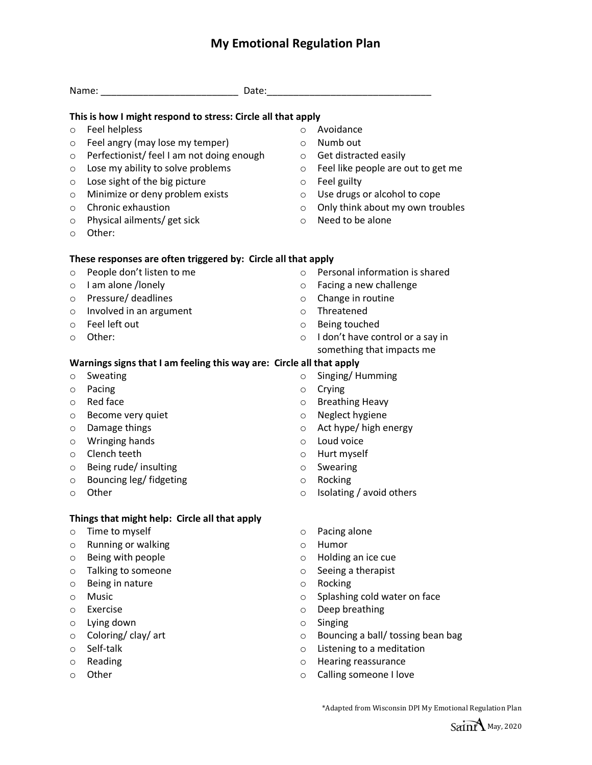## **My Emotional Regulation Plan**

|         | This is how I might respond to stress: Circle all that apply         |         |                                    |
|---------|----------------------------------------------------------------------|---------|------------------------------------|
| $\circ$ | <b>Feel helpless</b>                                                 | $\circ$ | Avoidance                          |
| $\circ$ | Feel angry (may lose my temper)                                      | $\circ$ | Numb out                           |
| O       | Perfectionist/ feel I am not doing enough                            | $\circ$ | Get distracted easily              |
| O       | Lose my ability to solve problems                                    | $\circ$ | Feel like people are out to get me |
| O       | Lose sight of the big picture                                        | $\circ$ | Feel guilty                        |
| $\circ$ | Minimize or deny problem exists                                      | $\circ$ | Use drugs or alcohol to cope       |
| O       | Chronic exhaustion                                                   | $\circ$ | Only think about my own troubles   |
| O       | Physical ailments/ get sick                                          | $\circ$ | Need to be alone                   |
| O       | Other:                                                               |         |                                    |
|         | These responses are often triggered by: Circle all that apply        |         |                                    |
| $\circ$ | People don't listen to me                                            | $\circ$ | Personal information is shared     |
| $\circ$ | I am alone /lonely                                                   | $\circ$ | Facing a new challenge             |
| $\circ$ | Pressure/ deadlines                                                  | $\circ$ | Change in routine                  |
| $\circ$ | Involved in an argument                                              | $\circ$ | Threatened                         |
| $\circ$ | Feel left out                                                        | $\circ$ | Being touched                      |
| O       | Other:                                                               | $\circ$ | I don't have control or a say in   |
|         |                                                                      |         | something that impacts me          |
|         | Warnings signs that I am feeling this way are: Circle all that apply |         |                                    |
| $\circ$ | Sweating                                                             | $\circ$ | Singing/Humming                    |
| $\circ$ | Pacing                                                               | O       | Crying                             |
| O       | Red face                                                             | $\circ$ | <b>Breathing Heavy</b>             |
| O       | Become very quiet                                                    | $\circ$ | Neglect hygiene                    |
| $\circ$ | Damage things                                                        | $\circ$ | Act hype/ high energy              |
| $\circ$ | Wringing hands                                                       | $\circ$ | Loud voice                         |
| O       | Clench teeth                                                         | $\circ$ | Hurt myself                        |
| O       | Being rude/ insulting                                                | $\circ$ | Swearing                           |
| O       | Bouncing leg/ fidgeting                                              | $\circ$ | Rocking                            |
| O       | Other                                                                | O       | Isolating / avoid others           |
|         | Things that might help: Circle all that apply                        |         |                                    |
| $\circ$ | Time to myself                                                       | $\circ$ | Pacing alone                       |
| O       | Running or walking                                                   | $\circ$ | Humor                              |
| O       | Being with people                                                    | O       | Holding an ice cue                 |
| O       | Talking to someone                                                   | $\circ$ | Seeing a therapist                 |
| O       | Being in nature                                                      | $\circ$ | Rocking                            |
| O       | Music                                                                | O       | Splashing cold water on face       |
| O       | Exercise                                                             | $\circ$ | Deep breathing                     |
| O       | Lying down                                                           | O       | Singing                            |
| O       | Coloring/clay/art                                                    | $\circ$ | Bouncing a ball/ tossing bean bag  |
| O       | Self-talk                                                            | O       | Listening to a meditation          |
| O       | Reading                                                              | $\circ$ | Hearing reassurance                |
| O       | Other                                                                | $\circ$ | Calling someone I love             |

\*Adapted from Wisconsin DPI My Emotional Regulation Plan